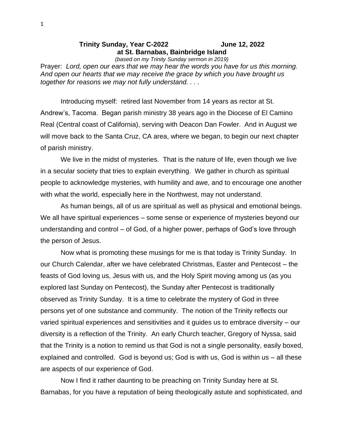## **Trinity Sunday, Year C-2022 June 12, 2022 at St. Barnabas, Bainbridge Island**

*(based on my Trinity Sunday sermon in 2019)*

Prayer: *Lord, open our ears that we may hear the words you have for us this morning. And open our hearts that we may receive the grace by which you have brought us together for reasons we may not fully understand. . . .*

Introducing myself: retired last November from 14 years as rector at St. Andrew's, Tacoma. Began parish ministry 38 years ago in the Diocese of El Camino Real (Central coast of California), serving with Deacon Dan Fowler. And in August we will move back to the Santa Cruz, CA area, where we began, to begin our next chapter of parish ministry.

We live in the midst of mysteries. That is the nature of life, even though we live in a secular society that tries to explain everything. We gather in church as spiritual people to acknowledge mysteries, with humility and awe, and to encourage one another with what the world, especially here in the Northwest, may not understand.

As human beings, all of us are spiritual as well as physical and emotional beings. We all have spiritual experiences – some sense or experience of mysteries beyond our understanding and control – of God, of a higher power, perhaps of God's love through the person of Jesus.

Now what is promoting these musings for me is that today is Trinity Sunday. In our Church Calendar, after we have celebrated Christmas, Easter and Pentecost – the feasts of God loving us, Jesus with us, and the Holy Spirit moving among us (as you explored last Sunday on Pentecost), the Sunday after Pentecost is traditionally observed as Trinity Sunday. It is a time to celebrate the mystery of God in three persons yet of one substance and community. The notion of the Trinity reflects our varied spiritual experiences and sensitivities and it guides us to embrace diversity – our diversity is a reflection of the Trinity. An early Church teacher, Gregory of Nyssa, said that the Trinity is a notion to remind us that God is not a single personality, easily boxed, explained and controlled. God is beyond us; God is with us, God is within us – all these are aspects of our experience of God.

Now I find it rather daunting to be preaching on Trinity Sunday here at St. Barnabas, for you have a reputation of being theologically astute and sophisticated, and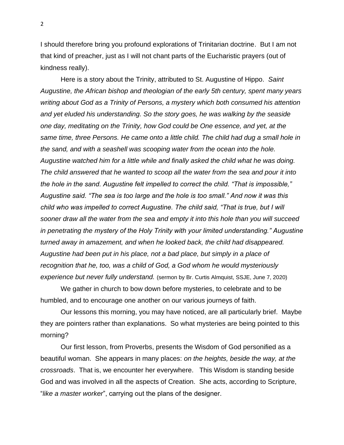I should therefore bring you profound explorations of Trinitarian doctrine. But I am not that kind of preacher, just as I will not chant parts of the Eucharistic prayers (out of kindness really).

Here is a story about the Trinity, attributed to St. Augustine of Hippo. *Saint Augustine, the African bishop and theologian of the early 5th century, spent many years writing about God as a Trinity of Persons, a mystery which both consumed his attention and yet eluded his understanding. So the story goes, he was walking by the seaside one day, meditating on the Trinity, how God could be One essence, and yet, at the same time, three Persons. He came onto a little child. The child had dug a small hole in the sand, and with a seashell was scooping water from the ocean into the hole. Augustine watched him for a little while and finally asked the child what he was doing. The child answered that he wanted to scoop all the water from the sea and pour it into the hole in the sand. Augustine felt impelled to correct the child. "That is impossible," Augustine said. "The sea is too large and the hole is too small." And now it was this child who was impelled to correct Augustine. The child said, "That is true, but I will sooner draw all the water from the sea and empty it into this hole than you will succeed in penetrating the mystery of the Holy Trinity with your limited understanding." Augustine turned away in amazement, and when he looked back, the child had disappeared. Augustine had been put in his place, not a bad place, but simply in a place of recognition that he, too, was a child of God, a God whom he would mysteriously experience but never fully understand.* (sermon by Br. Curtis Almquist, SSJE, June 7, 2020)

We gather in church to bow down before mysteries, to celebrate and to be humbled, and to encourage one another on our various journeys of faith.

Our lessons this morning, you may have noticed, are all particularly brief. Maybe they are pointers rather than explanations. So what mysteries are being pointed to this morning?

Our first lesson, from Proverbs, presents the Wisdom of God personified as a beautiful woman. She appears in many places: *on the heights, beside the way, at the crossroads*. That is, we encounter her everywhere. This Wisdom is standing beside God and was involved in all the aspects of Creation. She acts, according to Scripture, "*like a master worker*", carrying out the plans of the designer.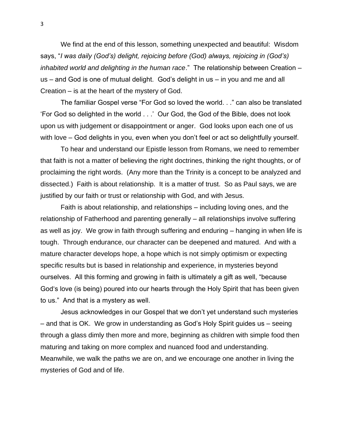We find at the end of this lesson, something unexpected and beautiful: Wisdom says, "*I was daily (God's) delight, rejoicing before (God) always, rejoicing in (God's) inhabited world and delighting in the human race*." The relationship between Creation – us – and God is one of mutual delight. God's delight in us – in you and me and all Creation – is at the heart of the mystery of God.

The familiar Gospel verse "For God so loved the world. . ." can also be translated 'For God so delighted in the world . . .' Our God, the God of the Bible, does not look upon us with judgement or disappointment or anger. God looks upon each one of us with love – God delights in you, even when you don't feel or act so delightfully yourself.

To hear and understand our Epistle lesson from Romans, we need to remember that faith is not a matter of believing the right doctrines, thinking the right thoughts, or of proclaiming the right words. (Any more than the Trinity is a concept to be analyzed and dissected.) Faith is about relationship. It is a matter of trust. So as Paul says, we are justified by our faith or trust or relationship with God, and with Jesus.

Faith is about relationship, and relationships – including loving ones, and the relationship of Fatherhood and parenting generally – all relationships involve suffering as well as joy. We grow in faith through suffering and enduring – hanging in when life is tough. Through endurance, our character can be deepened and matured. And with a mature character develops hope, a hope which is not simply optimism or expecting specific results but is based in relationship and experience, in mysteries beyond ourselves. All this forming and growing in faith is ultimately a gift as well, "because God's love (is being) poured into our hearts through the Holy Spirit that has been given to us." And that is a mystery as well.

Jesus acknowledges in our Gospel that we don't yet understand such mysteries – and that is OK. We grow in understanding as God's Holy Spirit guides us – seeing through a glass dimly then more and more, beginning as children with simple food then maturing and taking on more complex and nuanced food and understanding. Meanwhile, we walk the paths we are on, and we encourage one another in living the mysteries of God and of life.